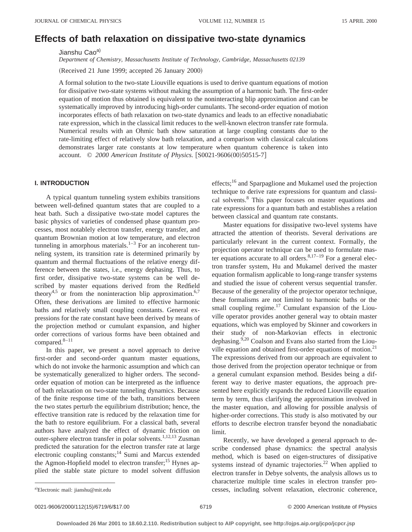# **Effects of bath relaxation on dissipative two-state dynamics**

Jianshu Cao<sup>a)</sup>

*Department of Chemistry, Massachusetts Institute of Technology, Cambridge, Massachusetts 02139*

(Received 21 June 1999; accepted 26 January 2000)

A formal solution to the two-state Liouville equations is used to derive quantum equations of motion for dissipative two-state systems without making the assumption of a harmonic bath. The first-order equation of motion thus obtained is equivalent to the noninteracting blip approximation and can be systematically improved by introducing high-order cumulants. The second-order equation of motion incorporates effects of bath relaxation on two-state dynamics and leads to an effective nonadiabatic rate expression, which in the classical limit reduces to the well-known electron transfer rate formula. Numerical results with an Ohmic bath show saturation at large coupling constants due to the rate-limiting effect of relatively slow bath relaxation, and a comparison with classical calculations demonstrates larger rate constants at low temperature when quantum coherence is taken into account. © 2000 American Institute of Physics. [S0021-9606(00)50515-7]

# **I. INTRODUCTION**

A typical quantum tunneling system exhibits transitions between well-defined quantum states that are coupled to a heat bath. Such a dissipative two-state model captures the basic physics of varieties of condensed phase quantum processes, most notablely electron transfer, energy transfer, and quantum Brownian motion at low temperature, and electron tunneling in amorphous materials. $1-3$  For an incoherent tunneling system, its transition rate is determined primarily by quantum and thermal fluctuations of the relative energy difference between the states, i.e., energy dephasing. Thus, to first order, dissipative two-state systems can be well described by master equations derived from the Redfield theory<sup>4,5</sup> or from the noninteraction blip approximation.<sup>6,7</sup> Often, these derivations are limited to effective harmonic baths and relatively small coupling constants. General expressions for the rate constant have been derived by means of the projection method or cumulant expansion, and higher order corrections of various forms have been obtained and compared.8–11

In this paper, we present a novel approach to derive first-order and second-order quantum master equations, which do not invoke the harmonic assumption and which can be systematically generalized to higher orders. The secondorder equation of motion can be interpreted as the influence of bath relaxation on two-state tunneling dynamics. Because of the finite response time of the bath, transitions between the two states perturb the equilibrium distribution; hence, the effective transition rate is reduced by the relaxation time for the bath to restore equilibrium. For a classical bath, several authors have analyzed the effect of dynamic friction on outer-sphere electron transfer in polar solvents.<sup>1,12,13</sup> Zusman predicted the saturation for the electron transfer rate at large electronic coupling constants;<sup>14</sup> Sumi and Marcus extended the Agmon-Hopfield model to electron transfer;<sup>15</sup> Hynes applied the stable state picture to model solvent diffusion

effects;<sup>16</sup> and Sparpaglione and Mukamel used the projection technique to derive rate expressions for quantum and classical solvents.8 This paper focuses on master equations and rate expressions for a quantum bath and establishes a relation between classical and quantum rate constants.

Master equations for dissipative two-level systems have attracted the attention of theorists. Several derivations are particularly relevant in the current context. Formally, the projection operator technique can be used to formulate master equations accurate to all orders. $8,17-19$  For a general electron transfer system, Hu and Mukamel derived the master equation formalism applicable to long-range transfer systems and studied the issue of coherent versus sequential transfer. Because of the generality of the projector operator technique, these formalisms are not limited to harmonic baths or the small coupling regime. $17$  Cumulant expansion of the Liouville operator provides another general way to obtain master equations, which was employed by Skinner and coworkers in their study of non-Markovian effects in electronic dephasing.<sup>9,20</sup> Coalson and Evans also started from the Liouville equation and obtained first-order equations of motion.<sup>21</sup> The expressions derived from our approach are equivalent to those derived from the projection operator technique or from a general cumulant expansion method. Besides being a different way to derive master equations, the approach presented here explicitly expands the reduced Liouville equation term by term, thus clarifying the approximation involved in the master equation, and allowing for possible analysis of higher-order corrections. This study is also motivated by our efforts to describe electron transfer beyond the nonadiabatic limit.

Recently, we have developed a general approach to describe condensed phase dynamics: the spectral analysis method, which is based on eigen-structures of dissipative systems instead of dynamic trajectories.<sup>22</sup> When applied to electron transfer in Debye solvents, the analysis allows us to characterize multiple time scales in electron transfer processes, including solvent relaxation, electronic coherence,

0021-9606/2000/112(15)/6719/6/\$17.00 6719 6719 6719 6910 6719 6719 6810 62000 American Institute of Physics

Electronic mail: jianshu@mit.edu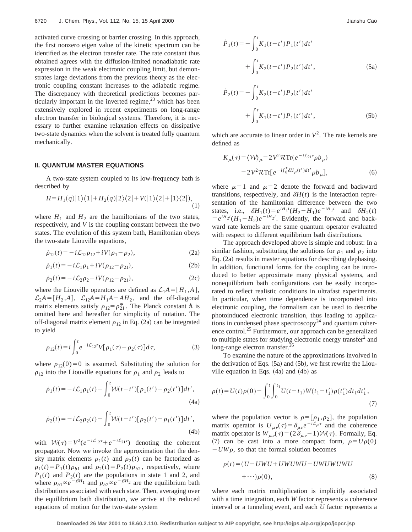activated curve crossing or barrier crossing. In this approach, the first nonzero eigen value of the kinetic spectrum can be identified as the electron transfer rate. The rate constant thus obtained agrees with the diffusion-limited nonadiabatic rate expression in the weak electronic coupling limit, but demonstrates large deviations from the previous theory as the electronic coupling constant increases to the adiabatic regime. The discrepancy with theoretical predictions becomes particularly important in the inverted regime, $^{23}$  which has been extensively explored in recent experiments on long-range electron transfer in biological systems. Therefore, it is necessary to further examine relaxation effects on dissipative two-state dynamics when the solvent is treated fully quantum mechanically.

## **II. QUANTUM MASTER EQUATIONS**

A two-state system coupled to its low-frequency bath is described by

$$
H=H_1(q)|1\rangle\langle 1|+H_2(q)|2\rangle\langle 2|+V(|1\rangle\langle 2|+|1\rangle\langle 2|),
$$
\n(1)

where  $H_1$  and  $H_2$  are the hamiltonians of the two states, respectively, and *V* is the coupling constant between the two states. The evolution of this system bath, Hamiltonian obeys the two-state Liouville equations,

$$
\dot{\rho}_{12}(t) = -i\mathcal{L}_{12}\rho_{12} + iV(\rho_1 - \rho_2),\tag{2a}
$$

$$
\dot{\rho}_1(t) = -i\mathcal{L}_1 \rho_1 + iV(\rho_{12} - \rho_{21}),\tag{2b}
$$

$$
\dot{\rho}_2(t) = -i\mathcal{L}_2 \rho_2 - iV(\rho_{12} - \rho_{21}),\tag{2c}
$$

where the Liouville operators are defined as  $\mathcal{L}_1A = [H_1, A],$  $\mathcal{L}_2A = [H_2, A], \quad \mathcal{L}_{12}A = H_1A - AH_2,$  and the off-diagonal matrix elements satisfy  $\rho_{12} = \rho_{21}^*$ . The Planck constant  $\hbar$  is omitted here and hereafter for simplicity of notation. The off-diagonal matrix element  $\rho_{12}$  in Eq. (2a) can be integrated to yield

$$
\rho_{12}(t) = i \int_0^t e^{-i\mathcal{L}_{12}\tau} V[\rho_1(\tau) - \rho_2(\tau)] d\tau,
$$
\n(3)

where  $\rho_{12}(0)=0$  is assumed. Substituting the solution for  $\rho_{12}$  into the Liouville equations for  $\rho_1$  and  $\rho_2$  leads to

$$
\dot{\rho}_1(t) = -i\mathcal{L}_1 \rho_1(t) - \int_0^t \mathcal{W}(t - t') [\rho_1(t') - \rho_2(t')] dt',
$$
\n(4a)

$$
\dot{\rho}_2(t) = -i\mathcal{L}_2 \rho_2(t) - \int_0^t \mathcal{W}(t - t') [\rho_2(t') - \rho_1(t')] dt',
$$
\n(4b)

with  $W(\tau) = V^2(e^{-i\mathcal{L}_{12}\tau} + e^{-i\mathcal{L}_{21}\tau})$  denoting the coherent propagator. Now we invoke the approximation that the density matrix elements  $\rho_1(t)$  and  $\rho_2(t)$  can be factorized as  $\rho_1(t) = P_1(t)\rho_{b1}$  and  $\rho_2(t) = P_2(t)\rho_{b2}$ , respectively, where  $P_1(t)$  and  $P_2(t)$  are the populations in state 1 and 2, and where  $\rho_{b1} \propto e^{-\beta H_1}$  and  $\rho_{b2} \propto e^{-\beta H_2}$  are the equilibrium bath distributions associated with each state. Then, averaging over the equilibrium bath distribution, we arrive at the reduced equations of motion for the two-state system

$$
\dot{P}_1(t) = -\int_0^t K_1(t - t') P_1(t') dt' \n+ \int_0^t K_2(t - t') P_2(t') dt',
$$
\n(5a)

$$
\dot{P}_2(t) = -\int_0^t K_2(t - t') P_2(t') dt' \n+ \int_0^t K_1(t - t') P_1(t') dt', \tag{5b}
$$

which are accurate to linear order in  $V^2$ . The rate kernels are defined as

$$
K_{\mu}(\tau) = \langle \mathcal{W} \rangle_{\mu} = 2V^2 \mathcal{R} \text{Tr} (e^{-i\mathcal{L}_{21}\tau} \rho b_{\mu})
$$

$$
= 2V^2 \mathcal{R} \text{Tr} [e^{-i\int_0^{\tau} \partial H_{\mu}(t')dt'} \rho b_{\mu}], \tag{6}
$$

where  $\mu=1$  and  $\mu=2$  denote the forward and backward transitions, respectively, and  $\delta H(t)$  is the interaction representation of the hamiltonian difference between the two states, i.e.,  $\delta H_1(t) = e^{iH_1t}(H_2 - H_1)e^{-iH_1t}$  and  $\delta H_2(t)$  $=e^{iH_2t}(H_1 - H_2)e^{-iH_2t}$ . Evidently, the forward and backward rate kernels are the same quantum operator evaluated with respect to different equilibrium bath distributions.

The approach developed above is simple and robust: In a similar fashion, substituting the solutions for  $\rho_1$  and  $\rho_2$  into Eq.  $(2a)$  results in master equations for describing dephasing. In addition, functional forms for the coupling can be introduced to better approximate many physical systems, and nonequilibrium bath configurations can be easily incorporated to reflect realistic conditions in ultrafast experiments. In particular, when time dependence is incorporated into electronic coupling, the formalism can be used to describe photoinduced electronic transition, thus leading to applications in condensed phase spectroscopy<sup>24</sup> and quantum coherence control.25 Furthermore, our approach can be generalized to multiple states for studying electronic energy transfer<sup>2</sup> and long-range electron transfer.<sup>26</sup>

To examine the nature of the approximations involved in the derivation of Eqs.  $(5a)$  and  $(5b)$ , we first rewrite the Liouville equation in Eqs.  $(4a)$  and  $(4b)$  as

$$
\rho(t) = U(t)\rho(0) - \int_0^t \int_0^{t_1} U(t - t_1)W(t_1 - t_1')\rho(t_1')dt_1dt_1',
$$
\n(7)

where the population vector is  $\rho = [\rho_1, \rho_2]$ , the population matrix operator is  $U_{\mu\nu}(\tau) = \delta_{\mu\nu}e^{-i\mathcal{L}_{\mu}\tau}$  and the coherence matrix operator is  $W_{\mu\nu}(\tau)=(2\delta_{\mu\nu}-1)W(\tau)$ . Formally, Eq. (7) can be cast into a more compact form,  $\rho = U\rho(0)$  $-UW\rho$ , so that the formal solution becomes

$$
\rho(t) = (U - UWU + UWUWU - UWUWUWU + \cdots)\rho(0),
$$
\n(8)

where each matrix multiplication is implicitly associated with a time integration, each *W* factor represents a coherence interval or a tunneling event, and each *U* factor represents a

**Downloaded 26 Mar 2001 to 18.60.2.110. Redistribution subject to AIP copyright, see http://ojps.aip.org/jcpo/jcpcr.jsp**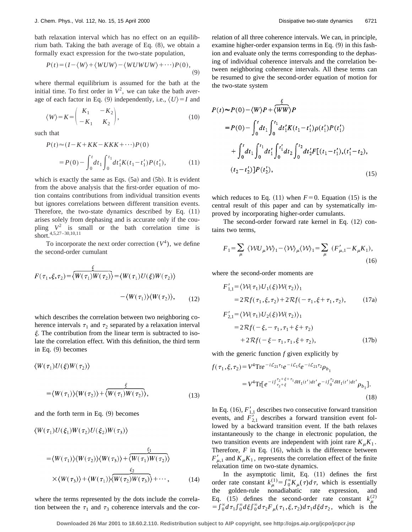bath relaxation interval which has no effect on an equilibrium bath. Taking the bath average of Eq.  $(8)$ , we obtain a formally exact expression for the two-state population,

$$
P(t) = (I - \langle W \rangle + \langle WUW \rangle - \langle WUWUW \rangle + \cdots) P(0),
$$
\n(9)

where thermal equilibrium is assumed for the bath at the initial time. To first order in  $V^2$ , we can take the bath average of each factor in Eq. (9) independently, i.e.,  $\langle U \rangle = I$  and

$$
\langle W \rangle = K = \begin{pmatrix} K_1 & -K_2 \\ -K_1 & K_2 \end{pmatrix},\tag{10}
$$

such that

$$
P(t) \approx (I - K + KK - KKK + \cdots) P(0)
$$
  
=  $P(0) - \int_0^t dt_1 \int_0^{t_1} dt'_1 K(t_1 - t'_1) P(t'_1),$  (11)

which is exactly the same as Eqs.  $(5a)$  and  $(5b)$ . It is evident from the above analysis that the first-order equation of motion contains contributions from individual transition events but ignores correlations between different transition events. Therefore, the two-state dynamics described by Eq.  $(11)$ arises solely from dephasing and is accurate only if the coupling  $V^2$  is small or the bath correlation time is short.4,5,27–30,10,11

To incorporate the next order correction  $(V^4)$ , we define the second-order cumulant

$$
F(\tau_1, \xi, \tau_2) = \overbrace{\langle W(\tau_1)W(\tau_2) \rangle}^{\xi} = \langle W(\tau_1)U(\xi)W(\tau_2) \rangle
$$

$$
-\langle W(\tau_1) \rangle \langle W(\tau_2) \rangle, \qquad (12)
$$

which describes the correlation between two neighboring coherence intervals  $\tau_1$  and  $\tau_2$  separated by a relaxation interval  $\xi$ . The contribution from the linear term is subtracted to isolate the correlation effect. With this definition, the third term in Eq.  $(9)$  becomes

$$
\langle W(\tau_1)U(\xi)W(\tau_2)\rangle
$$
  
= $\langle W(\tau_1)\rangle\langle W(\tau_2)\rangle+\langle \overbrace{W(\tau_1)W(\tau_2)}^{E},$  (13)

and the forth term in Eq.  $(9)$  becomes

 $\langle W(\tau_1)U(\xi_1)W(\tau_2)U(\xi_2)W(\tau_3)\rangle$ 

$$
= \langle W(\tau_1) \rangle \langle W(\tau_2) \rangle \langle W(\tau_3) \rangle + \overbrace{\langle W(\tau_1) W(\tau_2) \rangle}^{\xi_1}
$$
  
 
$$
\times \langle W(\tau_3) \rangle + \langle W(\tau_1) \rangle \overbrace{\langle W(\tau_2) W(\tau_3) \rangle}^{\xi_2} + \cdots, \qquad (14)
$$

where the terms represented by the dots include the correlation between the  $\tau_1$  and  $\tau_3$  coherence intervals and the correlation of all three coherence intervals. We can, in principle, examine higher-order expansion terms in Eq.  $(9)$  in this fashion and evaluate only the terms corresponding to the dephasing of individual coherence intervals and the correlation between neighboring coherence intervals. All these terms can be resumed to give the second-order equation of motion for the two-state system

$$
P(t) \approx P(0) - \langle W \rangle P + \overbrace{\langle W \overline{W} \rangle}^{g} P
$$
  
\n
$$
= P(0) - \int_{0}^{t} dt_{1} \int_{0}^{t_{1}} dt'_{1} K(t_{1} - t'_{1}) \rho(t'_{1}) P(t'_{1})
$$
  
\n
$$
+ \int_{0}^{t} dt_{1} \int_{0}^{t_{1}} dt'_{1} \int_{0}^{t'_{1}} dt_{2} \int_{0}^{t_{2}} dt'_{2} F[(t_{1} - t'_{1}), (t'_{1} - t_{2}),
$$
  
\n
$$
(t_{2} - t'_{2})] P(t'_{2}),
$$
\n(15)

which reduces to Eq.  $(11)$  when  $F=0$ . Equation  $(15)$  is the central result of this paper and can by systematically improved by incorporating higher-order cumulants.

The second-order forward rate kernel in Eq.  $(12)$  contains two terms,

$$
F_1 = \sum_{\mu} \langle \mathcal{W} U_{\mu} \mathcal{W} \rangle_1 - \langle \mathcal{W} \rangle_{\mu} \langle \mathcal{W} \rangle_1 = \sum_{\mu} (F'_{\mu,1} - K_{\mu} K_1),
$$
\n(16)

where the second-order moments are

$$
F'_{1,1} = \langle W(\tau_1) U_1(\xi) W(\tau_2) \rangle_1
$$
  
= 2\mathcal{R}f(\tau\_1, \xi, \tau\_2) + 2\mathcal{R}f(-\tau\_1, \xi + \tau\_1, \tau\_2), (17a)

$$
F'_{2,1} = \langle W(\tau_1) U_2(\xi) W(\tau_2) \rangle_1
$$
  
= 2\mathcal{R}f(-\xi, -\tau\_1, \tau\_1 + \xi + \tau\_2)  
+ 2\mathcal{R}f(-\xi - \tau\_1, \tau\_1, \xi + \tau\_2), (17b)

with the generic function *f* given explicitly by

$$
f(\tau_1, \xi, \tau_2) = V^4 \text{Tr} e^{-i\mathcal{L}_{21}\tau_1} e^{-i\mathcal{L}_1 \xi} e^{-i\mathcal{L}_{21}\tau_2} \rho_{b_1}
$$
  
= 
$$
V^4 \text{Tr} [e^{-i\int_{\tau_2 + \xi}^{\tau_2 + \xi + \tau_1} \delta H_1(t') dt'} e^{-i\int_0^{\tau_2} \delta H_1(t') dt'} \rho_{b_1}].
$$
 (18)

In Eq.  $(16)$ ,  $F'_{1,1}$  describes two consecutive forward transition events, and  $F'_{2,1}$  describes a forward transition event followed by a backward transition event. If the bath relaxes instantaneously to the change in electronic population, the two transition events are independent with joint rare  $K_{\mu}K_1$ . Therefore,  $F$  in Eq.  $(16)$ , which is the difference between  $F'_{\mu,1}$  and  $K_{\mu}K_1$ , represents the correlation effect of the finite relaxation time on two-state dynamics.

In the asymptotic limit, Eq.  $(11)$  defines the first order rate constant  $k_{\mu}^{(1)} = \int_{0}^{\infty} K_{\mu}(\tau) d\tau$ , which is essentially the golden-rule nonadiabatic rate expression, and Eq. (15) defines the second-order rate constant  $k_{\mu}^{(2)}$  $=\int_{0}^{\infty} d\tau_{1} \int_{0}^{\infty} d\xi \int_{0}^{\infty} d\tau_{2} F_{\mu}(\tau_{1}, \xi, \tau_{2}) d\tau_{1} d\xi d\tau_{2}$ , which is the

**Downloaded 26 Mar 2001 to 18.60.2.110. Redistribution subject to AIP copyright, see http://ojps.aip.org/jcpo/jcpcr.jsp**

 $(13)$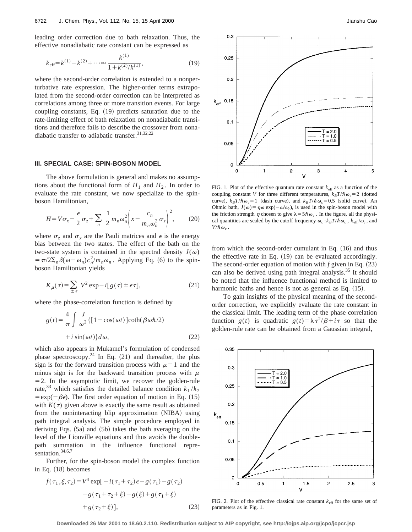leading order correction due to bath relaxation. Thus, the effective nonadiabatic rate constant can be expressed as

$$
k_{\text{eff}} = k^{(1)} - k^{(2)} + \dots \approx \frac{k^{(1)}}{1 + k^{(2)}/k^{(1)}},\tag{19}
$$

where the second-order correlation is extended to a nonperturbative rate expression. The higher-order terms extrapolated from the second-order correction can be interpreted as correlations among three or more transition events. For large coupling constants, Eq.  $(19)$  predicts saturation due to the rate-limiting effect of bath relaxation on nonadiabatic transitions and therefore fails to describe the crossover from nonadiabatic transfer to adiabatic transfer.31,32,22

#### **III. SPECIAL CASE: SPIN-BOSON MODEL**

The above formulation is general and makes no assumptions about the functional form of  $H_1$  and  $H_2$ . In order to evaluate the rate constant, we now specialize to the spinboson Hamiltonian,

$$
H = V\sigma_x - \frac{\epsilon}{2}\sigma_z + \sum_n \frac{1}{2} m_n \omega_n^2 \left( x - \frac{c_n}{m_n \omega_n^2} \sigma_z \right)^2, \qquad (20)
$$

where  $\sigma_z$  and  $\sigma_x$  are the Pauli matrices and  $\epsilon$  is the energy bias between the two states. The effect of the bath on the two-state system is contained in the spectral density  $J(\omega)$  $= \pi/2\sum_{n} \delta(\omega - \omega_n) c_n^2 / m_n \omega_n$ . Applying Eq. (6) to the spinboson Hamiltonian yields

$$
K_{\mu}(\tau) = \sum_{\pm \tau} V^2 \exp\left[i(g(\tau) \pm \epsilon \tau)\right],\tag{21}
$$

where the phase-correlation function is defined by

$$
g(t) = \frac{4}{\pi} \int \frac{J}{\omega^2} \{ [1 - \cos(\omega t)] \coth(\beta \omega \hbar/2) + i \sin(\omega t) \} d\omega,
$$
 (22)

which also appears in Mukamel's formulation of condensed phase spectroscopy.<sup>24</sup> In Eq.  $(21)$  and thereafter, the plus sign is for the forward transition process with  $\mu=1$  and the minus sign is for the backward transition process with  $\mu$  $=$  2. In the asymptotic limit, we recover the golden-rule rate,<sup>33</sup> which satisfies the detailed balance condition  $k_1 / k_2$  $= \exp(-\beta \epsilon)$ . The first order equation of motion in Eq. (15) with  $K(\tau)$  given above is exactly the same result as obtained from the noninteracting blip approximation (NIBA) using path integral analysis. The simple procedure employed in deriving Eqs.  $(5a)$  and  $(5b)$  takes the bath averaging on the level of the Liouville equations and thus avoids the doublepath summation in the influence functional representation.<sup>34,6,7</sup>

Further, for the spin-boson model the complex function in Eq.  $(18)$  becomes

$$
f(\tau_1, \xi, \tau_2) = V^4 \exp[-i(\tau_1 + \tau_2)\epsilon - g(\tau_1) - g(\tau_2) - g(\tau_1 + \tau_2 + \xi) - g(\xi) + g(\tau_1 + \xi) + g(\tau_2 + \xi)],
$$
\n(23)



FIG. 1. Plot of the effective quantum rate constant  $k_{\text{eff}}$  as a function of the coupling constant *V* for three different temperatures,  $k_B T/\hbar \omega_c = 2$  (dotted curve),  $k_B T/\hbar \omega_c = 1$  (dash curve), and  $k_B T/\hbar \omega_c = 0.5$  (solid curve). An Ohmic bath,  $J(\omega) = \eta \omega \exp(-\omega/\omega_c)$ , is used in the spin-boson model with the friction strength  $\eta$  chosen to give  $\lambda = 5\hbar\omega_c$ . In the figure, all the physical quantities are scaled by the cutoff frequency  $\omega_c$ : $k_B T/\hbar \omega_c$ ,  $k_{\text{eff}}/\omega_c$ , and  $V/\hbar \omega_c$ .

from which the second-order cumulant in Eq.  $(16)$  and thus the effective rate in Eq.  $(19)$  can be evaluated accordingly. The second-order equation of motion with  $f$  given in Eq.  $(23)$ can also be derived using path integral analysis.<sup>35</sup> It should be noted that the influence functional method is limited to harmonic baths and hence is not as general as Eq.  $(15)$ .

To gain insights of the physical meaning of the secondorder correction, we explicitly evaluate the rate constant in the classical limit. The leading term of the phase correlation function *g*(*t*) is quadratic  $g(t) = \lambda \tau^2/\beta + i\tau$  so that the golden-rule rate can be obtained from a Gaussian integral,



FIG. 2. Plot of the effective classical rate constant  $k_{\text{eff}}$  for the same set of parameters as in Fig. 1.

**Downloaded 26 Mar 2001 to 18.60.2.110. Redistribution subject to AIP copyright, see http://ojps.aip.org/jcpo/jcpcr.jsp**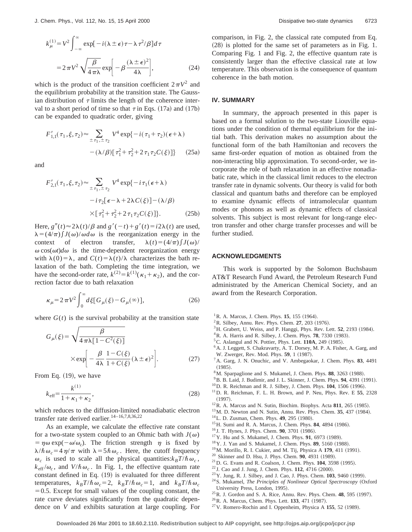$$
k_{\mu}^{(1)} = V^2 \int_{-\infty}^{\infty} \exp[-i(\lambda \pm \epsilon)\tau - \lambda \tau^2/\beta] d\tau
$$

$$
= 2\pi V^2 \sqrt{\frac{\beta}{4\pi\lambda}} \exp\left[-\beta \frac{(\lambda \pm \epsilon)^2}{4\lambda}\right],
$$
(24)

which is the product of the transition coefficient  $2\pi V^2$  and the equilibrium probability at the transition state. The Gaussian distribution of  $\tau$  limits the length of the coherence interval to a short period of time so that  $\tau$  in Eqs. (17a) and (17b) can be expanded to quadratic order, giving

$$
F'_{1,1}(\tau_1, \xi, \tau_2) \approx \sum_{\pm \tau_1, \pm \tau_2} V^4 \exp\{-i(\tau_1 + \tau_2)(\epsilon + \lambda) - (\lambda/\beta) [\tau_1^2 + \tau_2^2 + 2\tau_1 \tau_2 C(\xi)]\}
$$
 (25a)

and

$$
F'_{2,1}(\tau_1,\xi,\tau_2) \approx \sum_{\pm \tau_1,\pm \tau_2} V^4 \exp\{-i\tau_1(\epsilon+\lambda) -i\tau_2[\epsilon-\lambda+2\lambda C(\xi)]-(\lambda/\beta) \times [\tau_1^2+\tau_2^2+2\tau_1\tau_2 C(\xi)]\}.
$$
 (25b)

Here,  $g''(t) \approx 2\lambda(t)/\beta$  and  $g'(-t) + g'(t) = i2\lambda(t)$  are used,  $\lambda = (4/\pi) \int J(\omega)/\omega d\omega$  is the reorganization energy in the context of electron transfer,  $\lambda(t) = (4/\pi)\int J(\omega)/$  $\omega$  cos( $\omega t$ )*d* $\omega$  is the time-dependent reorganization energy with  $\lambda(0) = \lambda$ , and  $C(t) = \lambda(t)/\lambda$  characterizes the bath relaxation of the bath. Completing the time integration, we have the second-order rate,  $k^{(2)}=k^{(1)}(\kappa_1+\kappa_2)$ , and the correction factor due to bath relaxation

$$
\kappa_{\mu} = 2\pi V^2 \int_0^{\infty} d\xi [G_{\mu}(\xi) - G_{\mu}(\infty)], \qquad (26)
$$

where  $G(t)$  is the survival probability at the transition state

$$
G_{\mu}(\xi) = \sqrt{\frac{\beta}{4 \pi \lambda [1 - C^{2}(\xi)]}}
$$

$$
\times \exp\left[-\frac{\beta}{4\lambda} \frac{1 - C(\xi)}{1 + C(\xi)} (\lambda \pm \epsilon)^{2}\right].
$$
 (27)

From Eq.  $(19)$ , we have

$$
k_{\text{eff}} = \frac{k^{(1)}}{1 + \kappa_1 + \kappa_2},\tag{28}
$$

which reduces to the diffusion-limited nonadiabatic electron transfer rate derived earlier.<sup>14–16,7,8,36,22</sup>

As an example, we calculate the effective rate constant for a two-state system coupled to an Ohmic bath with  $J(\omega)$  $= \eta \omega \exp(-\omega/\omega_c)$ . The friction strength  $\eta$  is fixed by  $\lambda/\hbar\omega_c = 4\eta/\pi$  with  $\lambda = 5\hbar\omega_c$ . Here, the cutoff frequency  $\omega_c$  is used to scale all the physical quantities: $k_B T/\hbar \omega_c$ ,  $k_{\text{eff}}/\omega_c$ , and  $V/\hbar \omega_c$ . In Fig. 1, the effective quantum rate constant defined in Eq.  $(19)$  is evaluated for three different temperatures,  $k_B T/\hbar \omega_c = 2$ ,  $k_B T/\hbar \omega_c = 1$ , and  $k_B T/\hbar \omega_c$  $=0.5$ . Except for small values of the coupling constant, the rate curve deviates significantly from the quadratic dependence on *V* and exhibits saturation at large coupling. For

comparison, in Fig. 2, the classical rate computed from Eq.  $(28)$  is plotted for the same set of parameters as in Fig. 1. Comparing Fig. 1 and Fig. 2, the effective quantum rate is consistently larger than the effective classical rate at low temperature. This observation is the consequence of quantum coherence in the bath motion.

# **IV. SUMMARY**

In summary, the approach presented in this paper is based on a formal solution to the two-state Liouville equations under the condition of thermal equilibrium for the initial bath. This derivation makes no assumption about the functional form of the bath Hamiltonian and recovers the same first-order equation of motion as obtained from the non-interacting blip approximation. To second-order, we incorporate the role of bath relaxation in an effective nonadiabatic rate, which in the classical limit reduces to the electron transfer rate in dynamic solvents. Our theory is valid for both classical and quantum baths and therefore can be employed to examine dynamic effects of intramolecular quantum modes or phonons as well as dynamic effects of classical solvents. This subject is most relevant for long-range electron transfer and other charge transfer processes and will be further studied.

## **ACKNOWLEDGMENTS**

This work is supported by the Solomon Buchsbaum AT&T Research Fund Award, the Petroleum Research Fund administrated by the American Chemical Society, and an award from the Research Corporation.

- <sup>1</sup> R. A. Marcus, J. Chem. Phys. **15**, 155 (1964).
- $2^2$ R. Silbey, Annu. Rev. Phys. Chem. **27**, 203 (1976).
- <sup>3</sup>H. Grabert, U. Weiss, and P. Hanggi, Phys. Rev. Lett. **52**, 2193 (1984).
- <sup>4</sup>R. A. Harris and R. Silbey, J. Chem. Phys. **78**, 7330 (1983).
- ${}^5C$ . Aslangul and N. Pottier, Phys. Lett. **110A**, 249 (1985).
- <sup>6</sup> A. J. Leggett, S. Chakravarty, A. T. Dorsey, M. P. A. Fisher, A. Garg, and W. Zwerger, Rev. Mod. Phys. 59, 1 (1987).
- 7A. Garg, J. N. Onuchic, and V. Ambegaokar, J. Chem. Phys. **83**, 4491  $(1985).$
- ${}^8$ M. Sparpaglione and S. Mukamel, J. Chem. Phys. 88, 3263 (1988).
- $9^9$ B. B. Laid, J. Budimir, and J. L. Skinner, J. Chem. Phys. **94**, 4391 (1991).
- <sup>10</sup> D. R. Reichman and R. J. Silbey, J. Chem. Phys. **104**, 1506 (1996).
- 11D. R. Reichman, F. L. H. Brown, and P. Neu, Phys. Rev. E **55**, 2328  $(1997).$
- $12R$ . A. Marcus and N. Sutin, Biochim. Biophys. Acta **811**, 265 (1985).
- <sup>13</sup>M. D. Newton and N. Sutin, Annu. Rev. Phys. Chem. **35**, 437 (1984).
- <sup>14</sup> L. D. Zusman, Chem. Phys. **49**, 295 (1980).
- <sup>15</sup> H. Sumi and R. A. Marcus, J. Chem. Phys. **84**, 4894 (1986).
- <sup>16</sup> J. T. Hynes, J. Phys. Chem. **90**, 3701 (1986).
- <sup>17</sup> Y. Hu and S. Mukamel, J. Chem. Phys. **91**, 6973 (1989).
- <sup>18</sup> Y. J. Yan and S. Mukamel, J. Chem. Phys. **89**, 5160 (1988).
- <sup>19</sup> M. Morillo, R. I. Cukier, and M. Tij, Physica A **179**, 411 (1991).
- <sup>20</sup> Skinner and D. Hsu, J. Phys. Chem. **90**, 4931 (1989).
- $^{21}$  D. G. Evans and R. Coalson, J. Chem. Phys.  $104$ , 3598 (1995).
- <sup>22</sup> J. Cao and J. Jung, J. Chem. Phys. **112**, 4716 (2000).
- <sup>23</sup> Y. Jung, R. J. Silbey, and J. Cao, J. Phys. Chem. **103**, 9460 (1999).
- <sup>24</sup> S. Mukamel, *The Principles of Nonlinear Optical Spectroscopy* (Oxford University Press, London, 1995).
- $^{25}$ R. J. Gordon and S. A. Rice, Annu. Rev. Phys. Chem. **48**, 595 (1997).
- <sup>26</sup> R. A. Marcus, Chem. Phys. Lett. **133**, 471 (1987).
- <sup>27</sup> V. Romero-Rochin and I. Oppenheim, Physica A **155**, 52 (1989).